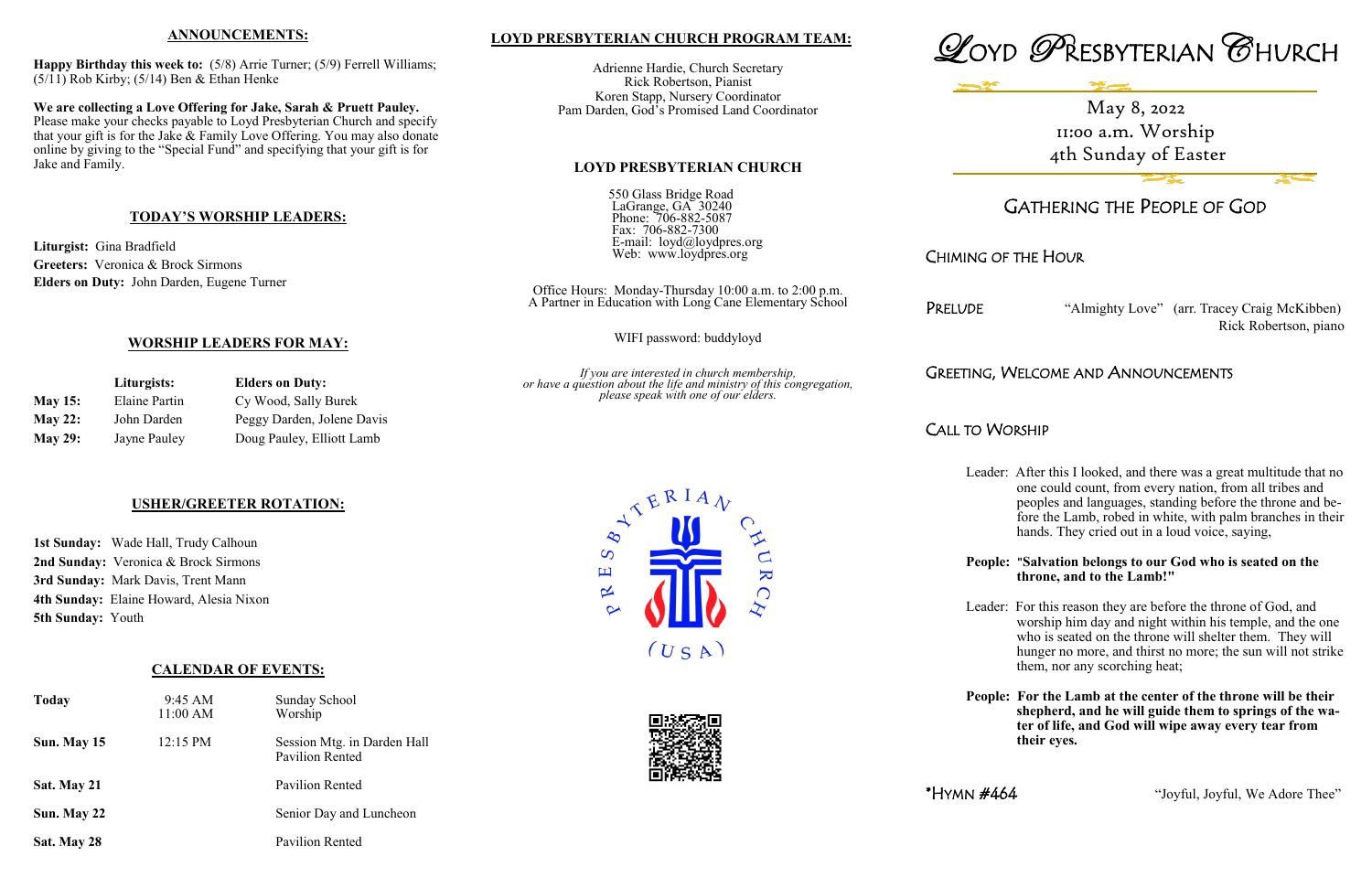## **LOYD PRESBYTERIAN CHURCH PROGRAM TEAM:**

Adrienne Hardie, Church Secretary Rick Robertson, Pianist Koren Stapp, Nursery Coordinator Pam Darden, God's Promised Land Coordinator

## **LOYD PRESBYTERIAN CHURCH**

550 Glass Bridge Road LaGrange, GA 30240 Phone: 706-882-5087 Fax: 706-882-7300 E-mail: loyd@loydpres.org Web: www.loydpres.org

> Office Hours: Monday-Thursday 10:00 a.m. to 2:00 p.m. A Partner in Education with Long Cane Elementary School

PRELUDE "Almighty Love" (arr. Tracey Craig McKibben) Rick Robertson, piano

WIFI password: buddyloyd

*If you are interested in church membership, or have a question about the life and ministry of this congregation, please speak with one of our elders.*





# GATHERING THE PEOPLE OF GOD

# CHIMING OF THE HOUR

# GREETING, WELCOME AND ANNOUNCEMENTS

CALL TO WORSHIP

- Leader: After this I looked, and there was a great multitude that no one could count, from every nation, from all tribes and peoples and languages, standing before the throne and be fore the Lamb, robed in white, with palm branches in their hands. They cried out in a loud voice, saying,
- **People: "Salvation belongs to our God who is seated on the throne, and to the Lamb!"**
- Leader: For this reason they are before the throne of God, and worship him day and night within his temple, and the one who is seated on the throne will shelter them. They will hunger no more, and thirst no more; the sun will not strike them, nor any scorching heat;
- **People: For the Lamb at the center of the throne will be their shepherd, and he will guide them to springs of the wa ter of life, and God will wipe away every tear from their eyes.**

\* $HYMN \#464$  "Joyful, Joyful, We Adore Thee"

## **ANNOUNCEMENTS:**

**Happy Birthday this week to:** (5/8) Arrie Turner; (5/9) Ferrell Williams;  $(5/11)$  Rob Kirby;  $(5/14)$  Ben & Ethan Henke

**We are collecting a Love Offering for Jake, Sarah & Pruett Pauley.**  Please make your checks payable to Loyd Presbyterian Church and specify that your gift is for the Jake & Family Love Offering. You may also donate online by giving to the "Special Fund" and specifying that your gift is for Jake and Family.

## **TODAY'S WORSHIP LEADERS:**

**Liturgist:** Gina Bradfield **Greeters:** Veronica & Brock Sirmons **Elders on Duty:** John Darden, Eugene Turner

## **WORSHIP LEADERS FOR MAY:**

|                | Liturgists:   | <b>Elders on Duty:</b>     |  |
|----------------|---------------|----------------------------|--|
| <b>May 15:</b> | Elaine Partin | Cy Wood, Sally Burek       |  |
| <b>May 22:</b> | John Darden   | Peggy Darden, Jolene Davis |  |
| <b>May 29:</b> | Jayne Pauley  | Doug Pauley, Elliott Lamb  |  |

## **USHER/GREETER ROTATION:**

**1st Sunday:** Wade Hall, Trudy Calhoun **2nd Sunday:** Veronica & Brock Sirmons **3rd Sunday:** Mark Davis, Trent Mann **4th Sunday:** Elaine Howard, Alesia Nixon **5th Sunday:** Youth

## **CALENDAR OF EVENTS:**

| <b>Today</b> | 9:45 AM<br>11:00 AM | Sunday School<br>Worship                              |
|--------------|---------------------|-------------------------------------------------------|
| Sun. May 15  | $12:15 \text{ PM}$  | Session Mtg. in Darden Hall<br><b>Pavilion Rented</b> |
| Sat. May 21  |                     | Pavilion Rented                                       |
| Sun. May 22  |                     | Senior Day and Luncheon                               |
| Sat. May 28  |                     | <b>Pavilion Rented</b>                                |





May 8, 2022 11:00 a.m. Worship 4th Sunday of Easter